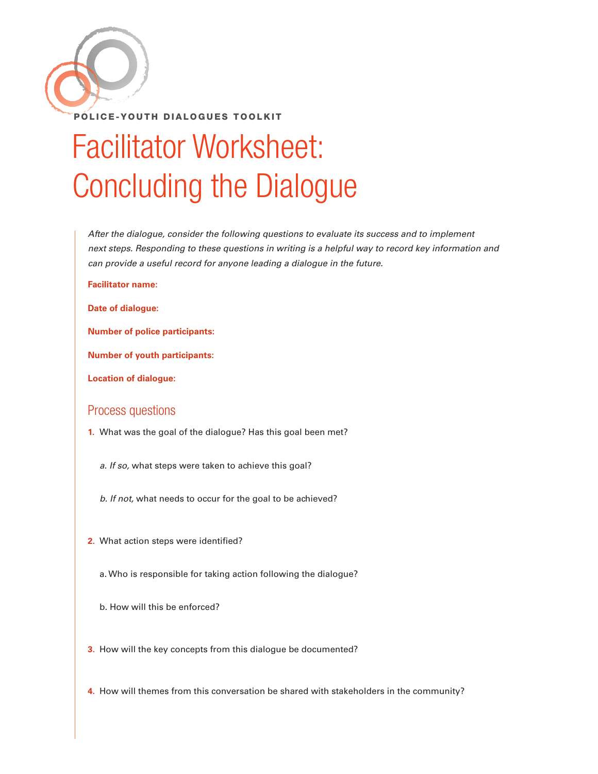

## Facilitator Worksheet: Concluding the Dialogue

*After the dialogue, consider the following questions to evaluate its success and to implement next steps. Responding to these questions in writing is a helpful way to record key information and can provide a useful record for anyone leading a dialogue in the future.* 

## **Facilitator name:**

**Date of dialogue:**

**Number of police participants:**

**Number of youth participants:**

**Location of dialogue:** 

## Process questions

- **1.** What was the goal of the dialogue? Has this goal been met?
	- *a. If so,* what steps were taken to achieve this goal?
	- *b. If not,* what needs to occur for the goal to be achieved?
- **2.** What action steps were identified?
	- a. Who is responsible for taking action following the dialogue?
	- b. How will this be enforced?
- **3.** How will the key concepts from this dialogue be documented?
- **4.** How will themes from this conversation be shared with stakeholders in the community?